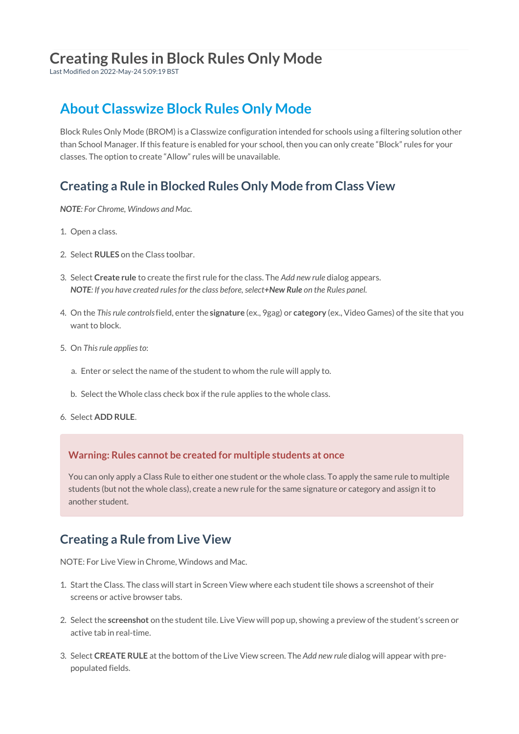## **Creating Rules in Block Rules Only Mode**

Last Modified on 2022-May-24 5:09:19 BST

## **About Classwize Block Rules Only Mode**

Block Rules Only Mode (BROM) is a Classwize configuration intended for schools using a filtering solution other than School Manager. If this feature is enabled for your school, then you can only create "Block" rules for your classes. The option to create "Allow" rules will be unavailable.

### **Creating a Rule in Blocked Rules Only Mode from Class View**

*NOTE: For Chrome, Windows and Mac.*

- 1. Open a class.
- 2. Select **RULES** on the Class toolbar.
- 3. Select **Create rule** to create the first rule for the class. The *Add new rule* dialog appears. *NOTE: If you have created rules for the class before, select+New Rule on the Rules panel.*
- 4. On the *This rule controls*field, enter the **signature** (ex., 9gag) or **category** (ex., Video Games) of the site that you want to block.
- 5. On *This rule applies to*:
	- a. Enter or select the name of the student to whom the rule will apply to.
	- b. Select the Whole class check box if the rule applies to the whole class.
- 6. Select **ADD RULE**.

#### **Warning: Rules cannot be created for multiple students at once**

You can only apply a Class Rule to either one student or the whole class. To apply the same rule to multiple students (but not the whole class), create a new rule for the same signature or category and assign it to another student.

### **Creating a Rule from Live View**

NOTE: For Live View in Chrome, Windows and Mac.

- 1. Start the Class. The class will start in Screen View where each student tile shows a screenshot of their screens or active browser tabs.
- 2. Select the **screenshot** on the student tile. Live View will pop up, showing a preview of the student's screen or active tab in real-time.
- 3. Select **CREATE RULE** at the bottom of the Live View screen. The *Add new rule* dialog will appear with prepopulated fields.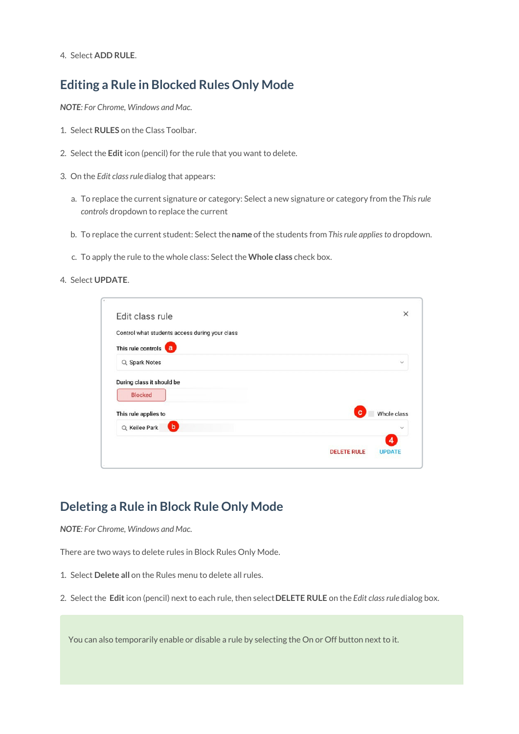4. Select **ADD RULE**.

#### **Editing a Rule in Blocked Rules Only Mode**

*NOTE: For Chrome, Windows and Mac.*

- 1. Select **RULES** on the Class Toolbar.
- 2. Select the **Edit** icon (pencil) for the rule that you want to delete.
- 3. On the *Edit class rule* dialog that appears:
	- a. To replace the current signature or category: Select a new signature or category from the *This rule controls* dropdown to replace the current
	- b. To replace the current student: Select the**name** of the students from *This rule applies to* dropdown.
	- c. To apply the rule to the whole class: Select the **Whole class** check box.
- 4. Select **UPDATE**.

| Edit class rule                                |   | $\times$                         |
|------------------------------------------------|---|----------------------------------|
| Control what students access during your class |   |                                  |
| This rule controls<br>$\mathbf{a}$             |   |                                  |
| Q Spark Notes                                  |   | $\checkmark$                     |
| <b>Blocked</b>                                 |   |                                  |
| This rule applies to                           | c |                                  |
| $\bullet$<br>Q Keilee Park                     |   | Whole class<br>$\checkmark$<br>4 |

### **Deleting a Rule in Block Rule Only Mode**

*NOTE: For Chrome, Windows and Mac.*

There are two ways to delete rules in Block Rules Only Mode.

- 1. Select **Delete all** on the Rules menu to delete all rules.
- 2. Select the **Edit** icon (pencil) next to each rule, then select**DELETE RULE** on the *Edit class rule* dialog box.

You can also temporarily enable or disable a rule by selecting the On or Off button next to it.